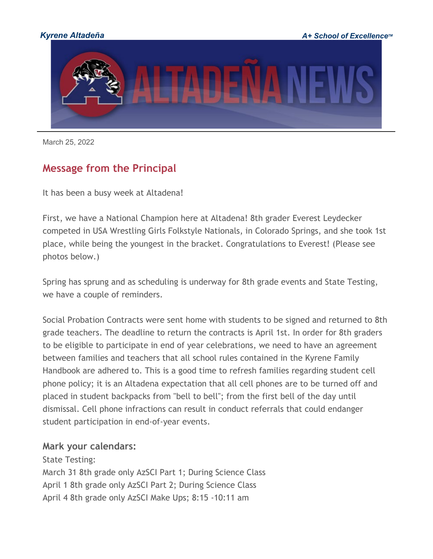

March 25, 2022

### **Message from the Principal**

It has been a busy week at Altadena!

First, we have a National Champion here at Altadena! 8th grader Everest Leydecker competed in USA Wrestling Girls Folkstyle Nationals, in Colorado Springs, and she took 1st place, while being the youngest in the bracket. Congratulations to Everest! (Please see photos below.)

Spring has sprung and as scheduling is underway for 8th grade events and State Testing, we have a couple of reminders.

Social Probation Contracts were sent home with students to be signed and returned to 8th grade teachers. The deadline to return the contracts is April 1st. In order for 8th graders to be eligible to participate in end of year celebrations, we need to have an agreement between families and teachers that all school rules contained in the Kyrene Family Handbook are adhered to. This is a good time to refresh families regarding student cell phone policy; it is an Altadena expectation that all cell phones are to be turned off and placed in student backpacks from "bell to bell"; from the first bell of the day until dismissal. Cell phone infractions can result in conduct referrals that could endanger student participation in end-of-year events.

#### **Mark your calendars:**

State Testing: March 31 8th grade only AzSCI Part 1; During Science Class April 1 8th grade only AzSCI Part 2; During Science Class April 4 8th grade only AzSCI Make Ups; 8:15 -10:11 am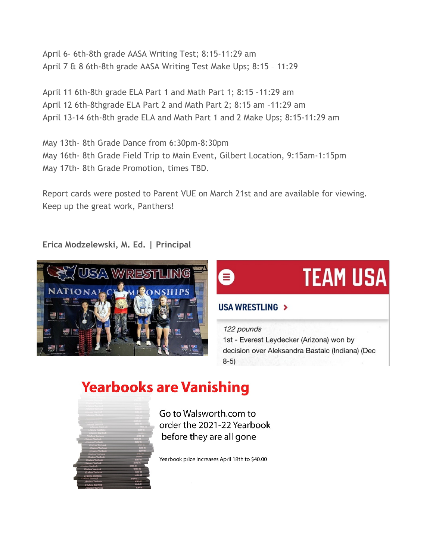April 6- 6th-8th grade AASA Writing Test; 8:15-11:29 am April 7 & 8 6th-8th grade AASA Writing Test Make Ups; 8:15 – 11:29

April 11 6th-8th grade ELA Part 1 and Math Part 1; 8:15 –11:29 am April 12 6th–8thgrade ELA Part 2 and Math Part 2; 8:15 am –11:29 am April 13-14 6th-8th grade ELA and Math Part 1 and 2 Make Ups; 8:15-11:29 am

May 13th- 8th Grade Dance from 6:30pm-8:30pm May 16th- 8th Grade Field Trip to Main Event, Gilbert Location, 9:15am-1:15pm May 17th- 8th Grade Promotion, times TBD.

Report cards were posted to Parent VUE on March 21st and are available for viewing. Keep up the great work, Panthers!

**Erica Modzelewski, M. Ed. | Principal**



# **TEAM USA**

### USA WRESTLING >

122 pounds 1st - Everest Leydecker (Arizona) won by decision over Aleksandra Bastaic (Indiana) (Dec  $8-5)$ 

## **Yearbooks are Vanishing**



Go to Walsworth.com to order the 2021-22 Yearbook before they are all gone

Yearbook price increases April 18th to \$40.00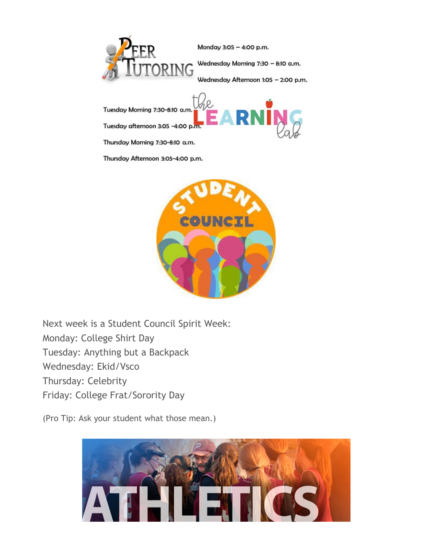

Monday 3:05 - 4:00 p.m.

Wednesday Morning 7:30 - 8:10 a.m.

Wednesday Afternoon 1:05 - 2:00 p.m.

Tuesday Morning 7:30-8:10 a.m. Tuesday afternoon 3:05 -4:00 p.m.

Thursday Morning 7:30-8:10 a.m.

Thursday Afternoon 3:05-4:00 p.m.



 $\mathcal{D}$ 

Next week is a Student Council Spirit Week: Monday: College Shirt Day Tuesday: Anything but a Backpack Wednesday: Ekid/Vsco Thursday: Celebrity Friday: College Frat/Sorority Day

(Pro Tip: Ask your student what those mean.)

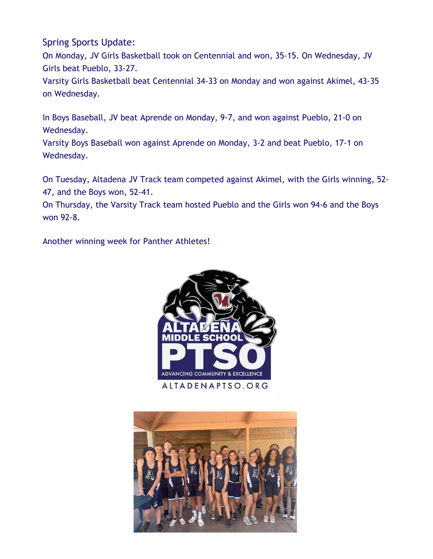### Spring Sports Update:

On Monday, JV Girls Basketball took on Centennial and won, 35-15. On Wednesday, JV Girls beat Pueblo, 33-27.

Varsity Girls Basketball beat Centennial 34-33 on Monday and won against Akimel, 43-35 on Wednesday.

In Boys Baseball, JV beat Aprende on Monday, 9-7, and won against Pueblo, 21-0 on Wednesday.

Varsity Boys Baseball won against Aprende on Monday, 3-2 and beat Pueblo, 17-1 on Wednesday.

On Tuesday, Altadena JV Track team competed against Akimel, with the Girls winning, 52- 47, and the Boys won, 52-41.

On Thursday, the Varsity Track team hosted Pueblo and the Girls won 94-6 and the Boys won 92-8.

Another winning week for Panther Athletes!